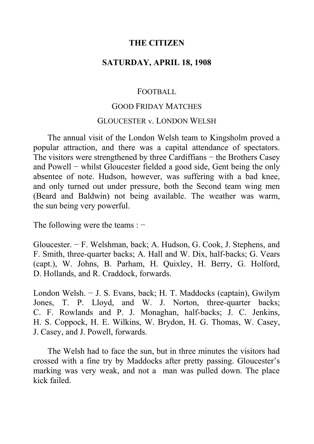# **THE CITIZEN**

# **SATURDAY, APRIL 18, 1908**

### FOOTBALL

### GOOD FRIDAY MATCHES

#### GLOUCESTER v. LONDON WELSH

The annual visit of the London Welsh team to Kingsholm proved a popular attraction, and there was a capital attendance of spectators. The visitors were strengthened by three Cardiffians – the Brothers Casey and Powell − whilst Gloucester fielded a good side, Gent being the only absentee of note. Hudson, however, was suffering with a bad knee, and only turned out under pressure, both the Second team wing men (Beard and Baldwin) not being available. The weather was warm, the sun being very powerful.

The following were the teams : −

Gloucester. − F. Welshman, back; A. Hudson, G. Cook, J. Stephens, and F. Smith, three-quarter backs; A. Hall and W. Dix, half-backs; G. Vears (capt.), W. Johns, B. Parham, H. Quixley, H. Berry, G. Holford, D. Hollands, and R. Craddock, forwards.

London Welsh. − J. S. Evans, back; H. T. Maddocks (captain), Gwilym Jones, T. P. Lloyd, and W. J. Norton, three-quarter backs; C. F. Rowlands and P. J. Monaghan, half-backs; J. C. Jenkins, H. S. Coppock, H. E. Wilkins, W. Brydon, H. G. Thomas, W. Casey, J. Casey, and J. Powell, forwards.

The Welsh had to face the sun, but in three minutes the visitors had crossed with a fine try by Maddocks after pretty passing. Gloucester's marking was very weak, and not a man was pulled down. The place kick failed.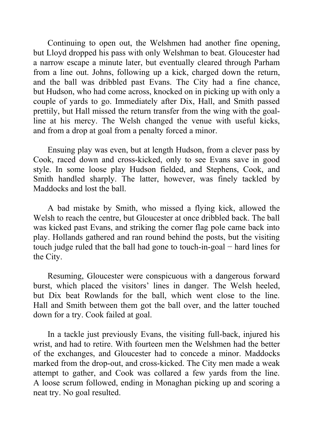Continuing to open out, the Welshmen had another fine opening, but Lloyd dropped his pass with only Welshman to beat. Gloucester had a narrow escape a minute later, but eventually cleared through Parham from a line out. Johns, following up a kick, charged down the return, and the ball was dribbled past Evans. The City had a fine chance, but Hudson, who had come across, knocked on in picking up with only a couple of yards to go. Immediately after Dix, Hall, and Smith passed prettily, but Hall missed the return transfer from the wing with the goalline at his mercy. The Welsh changed the venue with useful kicks, and from a drop at goal from a penalty forced a minor.

Ensuing play was even, but at length Hudson, from a clever pass by Cook, raced down and cross-kicked, only to see Evans save in good style. In some loose play Hudson fielded, and Stephens, Cook, and Smith handled sharply. The latter, however, was finely tackled by Maddocks and lost the ball.

A bad mistake by Smith, who missed a flying kick, allowed the Welsh to reach the centre, but Gloucester at once dribbled back. The ball was kicked past Evans, and striking the corner flag pole came back into play. Hollands gathered and ran round behind the posts, but the visiting touch judge ruled that the ball had gone to touch-in-goal − hard lines for the City.

Resuming, Gloucester were conspicuous with a dangerous forward burst, which placed the visitors' lines in danger. The Welsh heeled, but Dix beat Rowlands for the ball, which went close to the line. Hall and Smith between them got the ball over, and the latter touched down for a try. Cook failed at goal.

In a tackle just previously Evans, the visiting full-back, injured his wrist, and had to retire. With fourteen men the Welshmen had the better of the exchanges, and Gloucester had to concede a minor. Maddocks marked from the drop-out, and cross-kicked. The City men made a weak attempt to gather, and Cook was collared a few yards from the line. A loose scrum followed, ending in Monaghan picking up and scoring a neat try. No goal resulted.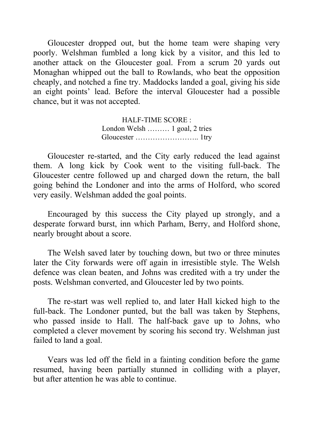Gloucester dropped out, but the home team were shaping very poorly. Welshman fumbled a long kick by a visitor, and this led to another attack on the Gloucester goal. From a scrum 20 yards out Monaghan whipped out the ball to Rowlands, who beat the opposition cheaply, and notched a fine try. Maddocks landed a goal, giving his side an eight points' lead. Before the interval Gloucester had a possible chance, but it was not accepted.

> HALF-TIME SCORE : London Welsh ……… 1 goal, 2 tries Gloucester …………………….. 1try

Gloucester re-started, and the City early reduced the lead against them. A long kick by Cook went to the visiting full-back. The Gloucester centre followed up and charged down the return, the ball going behind the Londoner and into the arms of Holford, who scored very easily. Welshman added the goal points.

Encouraged by this success the City played up strongly, and a desperate forward burst, inn which Parham, Berry, and Holford shone, nearly brought about a score.

The Welsh saved later by touching down, but two or three minutes later the City forwards were off again in irresistible style. The Welsh defence was clean beaten, and Johns was credited with a try under the posts. Welshman converted, and Gloucester led by two points.

The re-start was well replied to, and later Hall kicked high to the full-back. The Londoner punted, but the ball was taken by Stephens, who passed inside to Hall. The half-back gave up to Johns, who completed a clever movement by scoring his second try. Welshman just failed to land a goal.

Vears was led off the field in a fainting condition before the game resumed, having been partially stunned in colliding with a player, but after attention he was able to continue.